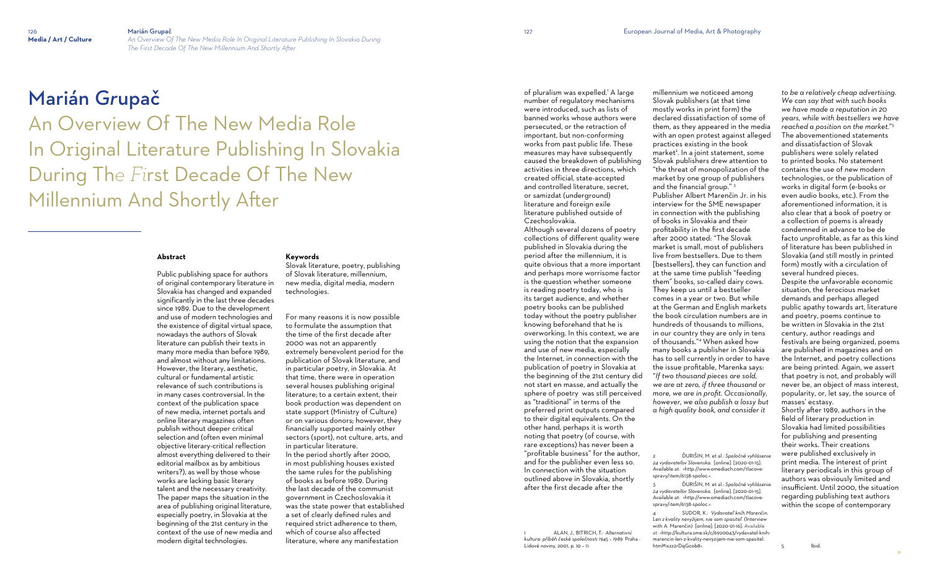»

# Marián *Gr*upač

An Overview Of The New Media Role In Original Literature Publishing In Slovakia During Th*e Fi*rst Decade Of The New Millennium And Shortly After

### **Abstract**

Public publishing space for authors of original contemporary literature in Slovakia has changed and expanded significantly in the last three decades since 1989. Due to the development and use of modern technologies and the existence of digital virtual space, nowadays the authors of Slovak literature can publish their texts in many more media than before 1989, and almost without any limitations. However, the literary, aesthetic, cultural or fundamental artistic relevance of such contributions is in many cases controversial. In the context of the publication space of new media, internet portals and online literary magazines often publish without deeper critical selection and (often even minimal objective literary-critical reflection almost everything delivered to their editorial mailbox as by ambitious writers?), as well by those whose works are lacking basic literary talent and the necessary creativity. The paper maps the situation in the area of publishing original literature. especially poetry, in Slovakia at the beginning of the 21st century in the context of the use of new media and modern digital technologies.

### **Keywords**

of pluralism was expelled.<sup>1</sup> A large number of regulatory mechanisms were introduced, such as lists of banned works whose authors were persecuted, or the retraction of important, but non-conforming works from past public life. These measures may have subsequently caused the breakdown of publishing activities in three directions, which created official, state-accepted and controlled literature, secret, or samizdat (underground) literature and foreign exile literature published outside of Czechoslovakia.

Slovak literature, poetry, publishing of Slovak literature, millennium, new media, digital media, modern technologies.

For many reasons it is now possible to formulate the assumption that the time of the first decade after 2000 was not an apparently extremely benevolent period for the publication of Slovak literature, and in particular poetry, in Slovakia. At that time, there were in operation several houses publishing original literature; to a certain extent, their book production was dependent on state support (Ministry of Culture) or on various donors; however, they financially supported mainly other sectors (sport), not culture, arts, and in particular literature. In the period shortly after 2000, in most publishing houses existed the same rules for the publishing of books as before 1989. During the last decade of the communist government in Czechoslovakia it was the state power that established a set of clearly defined rules and required strict adherence to them, which of course also affected literature, where any manifestation

Although several dozens of poetry collections of different quality were published in Slovakia during the period after the millennium, it is quite obvious that a more important and perhaps more worrisome factor is the question whether someone is reading poetry today, who is its target audience, and whether poetry books can be published today without the poetry publisher knowing beforehand that he is overworking. In this context, we are using the notion that the expansion and use of new media, especially the Internet, in connection with the publication of poetry in Slovakia at the beginning of the 21st century did not start en masse, and actually the sphere of poetry was still perceived as "traditional" in terms of the preferred print outputs compared to their digital equivalents. On the other hand, perhaps it is worth noting that poetry (of course, with rare exceptions) has never been a "profitable business" for the author, and for the publisher even less so. In connection with the situation outlined above in Slovakia, shortly after the first decade after the

1 ALAN, J., BITRICH, T.: *Alternativní kultura: příběh české společnosti 1945 – 1989.* Praha : Lidové noviny, 2001, p. 10 – 11.

millennium we noticeed among Slovak publishers (at that time mostly works in print form) the declared dissatisfaction of some of them, as they appeared in the media with an open protest against alleged practices existing in the book market<sup>2</sup>. In a joint statement, some Slovak publishers drew attention to "the threat of monopolization of the market by one group of publishers and the financial group."<sup>3</sup> Publisher Albert Marenčin Jr. in his interview for the SME newspaper in connection with the publishing of books in Slovakia and their profitability in the first decade after 2000 stated: "The Slovak market is small, most of publishers live from bestsellers. Due to them [bestsellers], they can function and at the same time publish "feeding them" books, so-called dairy cows. They keep us until a bestseller comes in a year or two. But while at the German and English markets the book circulation numbers are in hundreds of thousands to millions, in our country they are only in tens of thousands."<sup>4</sup> When asked how many books a publisher in Slovakia has to sell currently in order to have the issue profitable, Marenka says: "*If two thousand pieces are sold, we are at zero, if three thousand or more, we are in profit. Occasionally, however, we also publish a lossy but a high quality book, and consider it* 

*to be a relatively cheap advertising. We can say that with such books we have made a reputation in 20 years, while with bestsellers we have reached a position on the market.*" 5 The abovementioned statements and dissatisfaction of Slovak publishers were solely related to printed books. No statement contains the use of new modern technologies, or the publication of works in digital form (e-books or even audio books, etc.). From the aforementioned information, it is also clear that a book of poetry or a collection of poems is already condemned in advance to be de facto unprofitable, as far as this kind of literature has been published in Slovakia (and still mostly in printed form) mostly with a circulation of several hundred pieces. Despite the unfavorable economic situation, the ferocious market demands and perhaps alleged public apathy towards art, literature and poetry, poems continue to be written in Slovakia in the 21st century, author readings and festivals are being organized, poems are published in magazines and on the Internet, and poetry collections are being printed. Again, we assert that poetry is not, and probably will never be, an object of mass interest, popularity, or, let say, the source of masses' ecstasy.

Shortly after 1989, authors in the field of literary production in Slovakia had limited possibilities for publishing and presenting their works. Their creations were published exclusively in print media. The interest of print literary periodicals in this group of authors was obviously limited and insufficient. Until 2000, the situation regarding publishing text authors within the scope of contemporary

5 Ibid.

<sup>4</sup> SUDOR, K.: *Vydavateľ kníh Marenčin: Len z kvality nevyžijem, nie som spasiteľ*. (Interview with A. Marenčin) [online]. [2020-01-16]. Available at: [<http://kultura.sme.sk/c/6920043/vydavatel-knih](http://kultura.sme.sk/c/6920043/vydavatel-knih-marencin-len-z-kvality-nevyzijem-nie-som-spasitel.html#ixzz2rDqGcob8)[marencin-len-z-kvality-nevyzijem-nie-som-spasitel.](http://kultura.sme.sk/c/6920043/vydavatel-knih-marencin-len-z-kvality-nevyzijem-nie-som-spasitel.html#ixzz2rDqGcob8) [html#ixzz2rDqGcob8>](http://kultura.sme.sk/c/6920043/vydavatel-knih-marencin-len-z-kvality-nevyzijem-nie-som-spasitel.html#ixzz2rDqGcob8).

<sup>2</sup> ĎURIŠIN, M. et al.: *Spoločné vyhlásenie 24 vydavateľov Slovenska*. [online]. [2020-01-15]. Available at: [<http://www.omediach.com/tlacove](http://www.omediach.com/tlacove-spravy/item/6138-spoloc)[spravy/item/6138-spoloc.](http://www.omediach.com/tlacove-spravy/item/6138-spoloc)>.

<sup>3</sup> ĎURIŠIN, M. et al.: *Spoločné vyhlásenie 24 vydavateľov Slovenska*. [online]. [2020-01-15]. Available at: [<http://www.omediach.com/tlacove](http://www.omediach.com/tlacove-spravy/item/6138-spoloc)[spravy/item/6138-spoloc.](http://www.omediach.com/tlacove-spravy/item/6138-spoloc)>.